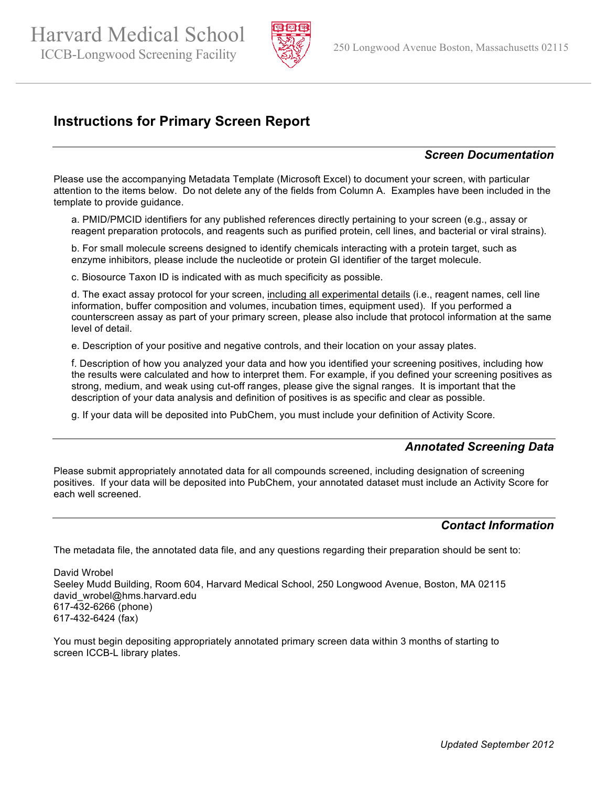Harvard Medical School ICCB-Longwood Screening Facility 250 Longwood Avenue Boston, Massachusetts 02115



# **Instructions for Primary Screen Report**

## *Screen Documentation*

Please use the accompanying Metadata Template (Microsoft Excel) to document your screen, with particular attention to the items below. Do not delete any of the fields from Column A. Examples have been included in the template to provide guidance.

a. PMID/PMCID identifiers for any published references directly pertaining to your screen (e.g., assay or reagent preparation protocols, and reagents such as purified protein, cell lines, and bacterial or viral strains).

b. For small molecule screens designed to identify chemicals interacting with a protein target, such as enzyme inhibitors, please include the nucleotide or protein GI identifier of the target molecule.

c. Biosource Taxon ID is indicated with as much specificity as possible.

d. The exact assay protocol for your screen, including all experimental details (i.e., reagent names, cell line information, buffer composition and volumes, incubation times, equipment used). If you performed a counterscreen assay as part of your primary screen, please also include that protocol information at the same level of detail.

e. Description of your positive and negative controls, and their location on your assay plates.

f. Description of how you analyzed your data and how you identified your screening positives, including how the results were calculated and how to interpret them. For example, if you defined your screening positives as strong, medium, and weak using cut-off ranges, please give the signal ranges. It is important that the description of your data analysis and definition of positives is as specific and clear as possible.

g. If your data will be deposited into PubChem, you must include your definition of Activity Score.

#### *Annotated Screening Data*

Please submit appropriately annotated data for all compounds screened, including designation of screening positives. If your data will be deposited into PubChem, your annotated dataset must include an Activity Score for each well screened.

#### *Contact Information*

The metadata file, the annotated data file, and any questions regarding their preparation should be sent to:

David Wrobel Seeley Mudd Building, Room 604, Harvard Medical School, 250 Longwood Avenue, Boston, MA 02115 david wrobel@hms.harvard.edu 617-432-6266 (phone) 617-432-6424 (fax)

You must begin depositing appropriately annotated primary screen data within 3 months of starting to screen ICCB-L library plates.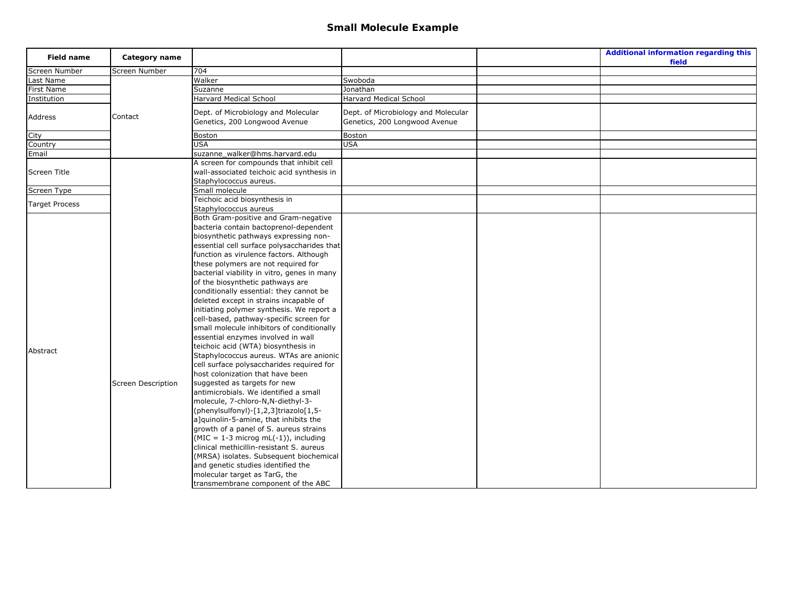| <b>Field name</b>                 | Category name             |                                                                                                                                                                                                                                                                                                                                                                                                                                                                                                                                                                                 |                                     | <b>Additional information regarding this</b><br>field |
|-----------------------------------|---------------------------|---------------------------------------------------------------------------------------------------------------------------------------------------------------------------------------------------------------------------------------------------------------------------------------------------------------------------------------------------------------------------------------------------------------------------------------------------------------------------------------------------------------------------------------------------------------------------------|-------------------------------------|-------------------------------------------------------|
| Screen Number                     | Screen Number             | 704                                                                                                                                                                                                                                                                                                                                                                                                                                                                                                                                                                             |                                     |                                                       |
| Last Name                         |                           | Walker                                                                                                                                                                                                                                                                                                                                                                                                                                                                                                                                                                          | Swoboda                             |                                                       |
| First Name                        |                           | Suzanne                                                                                                                                                                                                                                                                                                                                                                                                                                                                                                                                                                         | Jonathan                            |                                                       |
| Institution                       |                           | <b>Harvard Medical School</b>                                                                                                                                                                                                                                                                                                                                                                                                                                                                                                                                                   | Harvard Medical School              |                                                       |
|                                   |                           | Dept. of Microbiology and Molecular                                                                                                                                                                                                                                                                                                                                                                                                                                                                                                                                             | Dept. of Microbiology and Molecular |                                                       |
| Address                           | Contact                   | Genetics, 200 Longwood Avenue                                                                                                                                                                                                                                                                                                                                                                                                                                                                                                                                                   | Genetics, 200 Longwood Avenue       |                                                       |
|                                   |                           |                                                                                                                                                                                                                                                                                                                                                                                                                                                                                                                                                                                 |                                     |                                                       |
| City                              |                           | <b>Boston</b>                                                                                                                                                                                                                                                                                                                                                                                                                                                                                                                                                                   | Boston                              |                                                       |
| Country                           |                           | <b>USA</b>                                                                                                                                                                                                                                                                                                                                                                                                                                                                                                                                                                      | <b>USA</b>                          |                                                       |
| Email                             |                           | suzanne walker@hms.harvard.edu                                                                                                                                                                                                                                                                                                                                                                                                                                                                                                                                                  |                                     |                                                       |
|                                   |                           | A screen for compounds that inhibit cell                                                                                                                                                                                                                                                                                                                                                                                                                                                                                                                                        |                                     |                                                       |
| Screen Title                      |                           | wall-associated teichoic acid synthesis in                                                                                                                                                                                                                                                                                                                                                                                                                                                                                                                                      |                                     |                                                       |
|                                   |                           | Staphylococcus aureus.                                                                                                                                                                                                                                                                                                                                                                                                                                                                                                                                                          |                                     |                                                       |
| Screen Type                       |                           | Small molecule                                                                                                                                                                                                                                                                                                                                                                                                                                                                                                                                                                  |                                     |                                                       |
|                                   |                           |                                                                                                                                                                                                                                                                                                                                                                                                                                                                                                                                                                                 |                                     |                                                       |
|                                   |                           | Staphylococcus aureus                                                                                                                                                                                                                                                                                                                                                                                                                                                                                                                                                           |                                     |                                                       |
|                                   |                           | Both Gram-positive and Gram-negative                                                                                                                                                                                                                                                                                                                                                                                                                                                                                                                                            |                                     |                                                       |
|                                   |                           | bacteria contain bactoprenol-dependent                                                                                                                                                                                                                                                                                                                                                                                                                                                                                                                                          |                                     |                                                       |
|                                   |                           | biosynthetic pathways expressing non-                                                                                                                                                                                                                                                                                                                                                                                                                                                                                                                                           |                                     |                                                       |
|                                   |                           | essential cell surface polysaccharides that                                                                                                                                                                                                                                                                                                                                                                                                                                                                                                                                     |                                     |                                                       |
|                                   |                           | function as virulence factors. Although                                                                                                                                                                                                                                                                                                                                                                                                                                                                                                                                         |                                     |                                                       |
|                                   |                           | these polymers are not required for                                                                                                                                                                                                                                                                                                                                                                                                                                                                                                                                             |                                     |                                                       |
|                                   |                           | bacterial viability in vitro, genes in many                                                                                                                                                                                                                                                                                                                                                                                                                                                                                                                                     |                                     |                                                       |
|                                   |                           | of the biosynthetic pathways are                                                                                                                                                                                                                                                                                                                                                                                                                                                                                                                                                |                                     |                                                       |
|                                   |                           |                                                                                                                                                                                                                                                                                                                                                                                                                                                                                                                                                                                 |                                     |                                                       |
|                                   |                           | deleted except in strains incapable of                                                                                                                                                                                                                                                                                                                                                                                                                                                                                                                                          |                                     |                                                       |
|                                   |                           |                                                                                                                                                                                                                                                                                                                                                                                                                                                                                                                                                                                 |                                     |                                                       |
|                                   |                           | cell-based, pathway-specific screen for                                                                                                                                                                                                                                                                                                                                                                                                                                                                                                                                         |                                     |                                                       |
|                                   |                           |                                                                                                                                                                                                                                                                                                                                                                                                                                                                                                                                                                                 |                                     |                                                       |
|                                   |                           |                                                                                                                                                                                                                                                                                                                                                                                                                                                                                                                                                                                 |                                     |                                                       |
|                                   |                           | teichoic acid (WTA) biosynthesis in                                                                                                                                                                                                                                                                                                                                                                                                                                                                                                                                             |                                     |                                                       |
|                                   |                           | Staphylococcus aureus. WTAs are anionic                                                                                                                                                                                                                                                                                                                                                                                                                                                                                                                                         |                                     |                                                       |
|                                   |                           | cell surface polysaccharides required for                                                                                                                                                                                                                                                                                                                                                                                                                                                                                                                                       |                                     |                                                       |
|                                   |                           |                                                                                                                                                                                                                                                                                                                                                                                                                                                                                                                                                                                 |                                     |                                                       |
|                                   |                           | suggested as targets for new                                                                                                                                                                                                                                                                                                                                                                                                                                                                                                                                                    |                                     |                                                       |
|                                   |                           | antimicrobials. We identified a small                                                                                                                                                                                                                                                                                                                                                                                                                                                                                                                                           |                                     |                                                       |
|                                   |                           | molecule, 7-chloro-N, N-diethyl-3-                                                                                                                                                                                                                                                                                                                                                                                                                                                                                                                                              |                                     |                                                       |
|                                   |                           |                                                                                                                                                                                                                                                                                                                                                                                                                                                                                                                                                                                 |                                     |                                                       |
|                                   |                           |                                                                                                                                                                                                                                                                                                                                                                                                                                                                                                                                                                                 |                                     |                                                       |
|                                   |                           |                                                                                                                                                                                                                                                                                                                                                                                                                                                                                                                                                                                 |                                     |                                                       |
|                                   |                           |                                                                                                                                                                                                                                                                                                                                                                                                                                                                                                                                                                                 |                                     |                                                       |
|                                   |                           | clinical methicillin-resistant S, aureus                                                                                                                                                                                                                                                                                                                                                                                                                                                                                                                                        |                                     |                                                       |
|                                   |                           |                                                                                                                                                                                                                                                                                                                                                                                                                                                                                                                                                                                 |                                     |                                                       |
|                                   |                           |                                                                                                                                                                                                                                                                                                                                                                                                                                                                                                                                                                                 |                                     |                                                       |
|                                   |                           |                                                                                                                                                                                                                                                                                                                                                                                                                                                                                                                                                                                 |                                     |                                                       |
|                                   |                           |                                                                                                                                                                                                                                                                                                                                                                                                                                                                                                                                                                                 |                                     |                                                       |
| <b>Target Process</b><br>Abstract | <b>Screen Description</b> | Teichoic acid biosynthesis in<br>conditionally essential: they cannot be<br>initiating polymer synthesis. We report a<br>small molecule inhibitors of conditionally<br>essential enzymes involved in wall<br>host colonization that have been<br>(phenylsulfonyl)-[1,2,3]triazolo[1,5-<br>a]quinolin-5-amine, that inhibits the<br>growth of a panel of S. aureus strains<br>$(MIC = 1-3$ microg mL $(-1)$ ), including<br>(MRSA) isolates. Subsequent biochemical<br>and genetic studies identified the<br>molecular target as TarG, the<br>transmembrane component of the ABC |                                     |                                                       |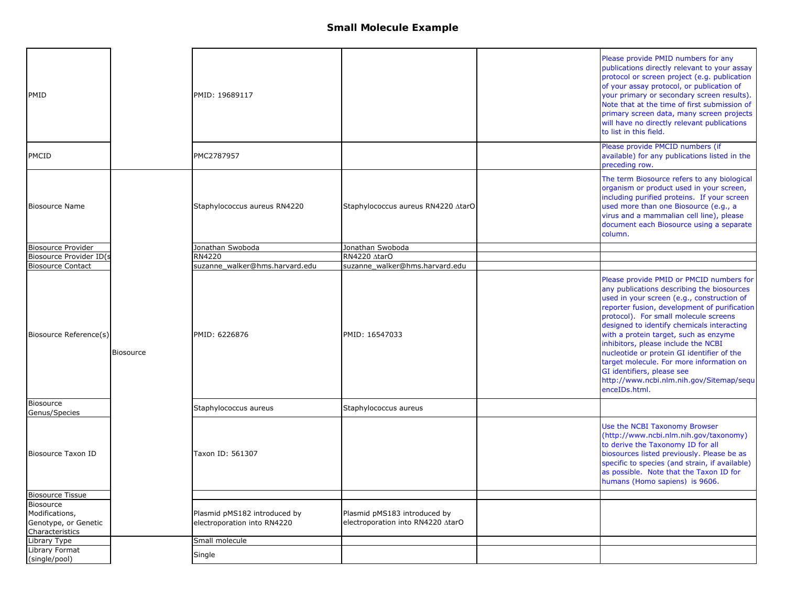| PMID                                                                   |                  | PMID: 19689117                                              |                                                                   | Please provide PMID numbers for any<br>publications directly relevant to your assay<br>protocol or screen project (e.g. publication<br>of your assay protocol, or publication of<br>your primary or secondary screen results).<br>Note that at the time of first submission of<br>primary screen data, many screen projects<br>will have no directly relevant publications<br>to list in this field.                                                                                                                                             |
|------------------------------------------------------------------------|------------------|-------------------------------------------------------------|-------------------------------------------------------------------|--------------------------------------------------------------------------------------------------------------------------------------------------------------------------------------------------------------------------------------------------------------------------------------------------------------------------------------------------------------------------------------------------------------------------------------------------------------------------------------------------------------------------------------------------|
| <b>PMCID</b>                                                           |                  | PMC2787957                                                  |                                                                   | Please provide PMCID numbers (if<br>available) for any publications listed in the<br>preceding row.                                                                                                                                                                                                                                                                                                                                                                                                                                              |
| <b>Biosource Name</b>                                                  |                  | Staphylococcus aureus RN4220                                | Staphylococcus aureus RN4220 AtarO                                | The term Biosource refers to any biological<br>organism or product used in your screen,<br>including purified proteins. If your screen<br>used more than one Biosource (e.g., a<br>virus and a mammalian cell line), please<br>document each Biosource using a separate<br>column.                                                                                                                                                                                                                                                               |
| <b>Biosource Provider</b>                                              |                  | Jonathan Swoboda                                            | Jonathan Swoboda                                                  |                                                                                                                                                                                                                                                                                                                                                                                                                                                                                                                                                  |
| Biosource Provider ID(s                                                |                  | RN4220                                                      | RN4220 AtarO                                                      |                                                                                                                                                                                                                                                                                                                                                                                                                                                                                                                                                  |
| <b>Biosource Contact</b>                                               |                  | suzanne_walker@hms.harvard.edu                              | suzanne_walker@hms.harvard.edu                                    |                                                                                                                                                                                                                                                                                                                                                                                                                                                                                                                                                  |
| Biosource Reference(s)                                                 | <b>Biosource</b> | PMID: 6226876                                               | PMID: 16547033                                                    | Please provide PMID or PMCID numbers for<br>any publications describing the biosources<br>used in your screen (e.g., construction of<br>reporter fusion, development of purification<br>protocol). For small molecule screens<br>designed to identify chemicals interacting<br>with a protein target, such as enzyme<br>inhibitors, please include the NCBI<br>nucleotide or protein GI identifier of the<br>target molecule. For more information on<br>GI identifiers, please see<br>http://www.ncbi.nlm.nih.gov/Sitemap/sequ<br>enceIDs.html. |
| Biosource<br>Genus/Species                                             |                  | Staphylococcus aureus                                       | Staphylococcus aureus                                             |                                                                                                                                                                                                                                                                                                                                                                                                                                                                                                                                                  |
| Biosource Taxon ID                                                     |                  | Taxon ID: 561307                                            |                                                                   | Use the NCBI Taxonomy Browser<br>(http://www.ncbi.nlm.nih.gov/taxonomy)<br>to derive the Taxonomy ID for all<br>biosources listed previously. Please be as<br>specific to species (and strain, if available)<br>as possible. Note that the Taxon ID for<br>humans (Homo sapiens) is 9606.                                                                                                                                                                                                                                                        |
| <b>Biosource Tissue</b>                                                |                  |                                                             |                                                                   |                                                                                                                                                                                                                                                                                                                                                                                                                                                                                                                                                  |
| Biosource<br>Modifications,<br>Genotype, or Genetic<br>Characteristics |                  | Plasmid pMS182 introduced by<br>electroporation into RN4220 | Plasmid pMS183 introduced by<br>electroporation into RN4220 AtarO |                                                                                                                                                                                                                                                                                                                                                                                                                                                                                                                                                  |
| Library Type                                                           |                  | Small molecule                                              |                                                                   |                                                                                                                                                                                                                                                                                                                                                                                                                                                                                                                                                  |
| Library Format<br>(single/pool)                                        |                  | Single                                                      |                                                                   |                                                                                                                                                                                                                                                                                                                                                                                                                                                                                                                                                  |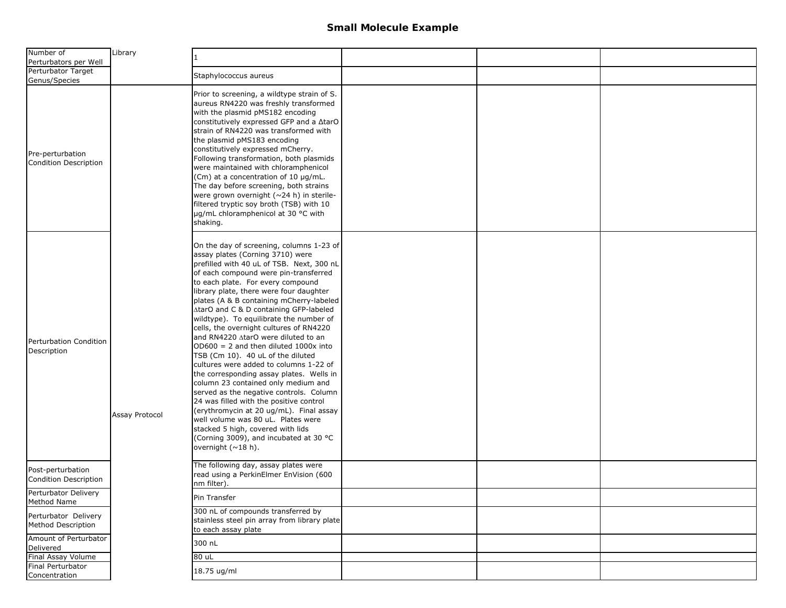| Number of<br>Perturbators per Well         | Library        | 1.                                                                                                                                                                                                                                                                                                                                                                                                                                                                                                                                                                                                                                                                                                                                                                                                                                                                                                                                                                            |  |  |
|--------------------------------------------|----------------|-------------------------------------------------------------------------------------------------------------------------------------------------------------------------------------------------------------------------------------------------------------------------------------------------------------------------------------------------------------------------------------------------------------------------------------------------------------------------------------------------------------------------------------------------------------------------------------------------------------------------------------------------------------------------------------------------------------------------------------------------------------------------------------------------------------------------------------------------------------------------------------------------------------------------------------------------------------------------------|--|--|
| Perturbator Target<br>Genus/Species        |                | Staphylococcus aureus                                                                                                                                                                                                                                                                                                                                                                                                                                                                                                                                                                                                                                                                                                                                                                                                                                                                                                                                                         |  |  |
| Pre-perturbation<br>Condition Description  |                | Prior to screening, a wildtype strain of S.<br>aureus RN4220 was freshly transformed<br>with the plasmid pMS182 encoding<br>constitutively expressed GFP and a ∆tarO<br>strain of RN4220 was transformed with<br>the plasmid pMS183 encoding<br>constitutively expressed mCherry.<br>Following transformation, both plasmids<br>were maintained with chloramphenicol<br>(Cm) at a concentration of 10 µg/mL.<br>The day before screening, both strains<br>were grown overnight ( $\sim$ 24 h) in sterile-<br>filtered tryptic soy broth (TSB) with 10<br>µg/mL chloramphenicol at 30 °C with<br>shaking.                                                                                                                                                                                                                                                                                                                                                                      |  |  |
| Perturbation Condition<br>Description      | Assay Protocol | On the day of screening, columns 1-23 of<br>assay plates (Corning 3710) were<br>prefilled with 40 uL of TSB. Next, 300 nL<br>of each compound were pin-transferred<br>to each plate. For every compound<br>library plate, there were four daughter<br>plates (A & B containing mCherry-labeled<br>AtarO and C & D containing GFP-labeled<br>wildtype). To equilibrate the number of<br>cells, the overnight cultures of RN4220<br>and RN4220 AtarO were diluted to an<br>$OD600 = 2$ and then diluted 1000x into<br>TSB (Cm 10). 40 uL of the diluted<br>cultures were added to columns 1-22 of<br>the corresponding assay plates. Wells in<br>column 23 contained only medium and<br>served as the negative controls. Column<br>24 was filled with the positive control<br>(erythromycin at 20 ug/mL). Final assay<br>well volume was 80 uL. Plates were<br>stacked 5 high, covered with lids<br>(Corning 3009), and incubated at 30 °C<br>overnight $(\sim 18 \text{ h})$ . |  |  |
| Post-perturbation<br>Condition Description |                | The following day, assay plates were<br>read using a PerkinElmer EnVision (600<br>nm filter).                                                                                                                                                                                                                                                                                                                                                                                                                                                                                                                                                                                                                                                                                                                                                                                                                                                                                 |  |  |
| Perturbator Delivery<br>Method Name        |                | Pin Transfer                                                                                                                                                                                                                                                                                                                                                                                                                                                                                                                                                                                                                                                                                                                                                                                                                                                                                                                                                                  |  |  |
| Perturbator Delivery<br>Method Description |                | 300 nL of compounds transferred by<br>stainless steel pin array from library plate<br>to each assay plate                                                                                                                                                                                                                                                                                                                                                                                                                                                                                                                                                                                                                                                                                                                                                                                                                                                                     |  |  |
| Amount of Perturbator<br>Delivered         |                | 300 nL                                                                                                                                                                                                                                                                                                                                                                                                                                                                                                                                                                                                                                                                                                                                                                                                                                                                                                                                                                        |  |  |
| Final Assay Volume                         |                | 80 uL                                                                                                                                                                                                                                                                                                                                                                                                                                                                                                                                                                                                                                                                                                                                                                                                                                                                                                                                                                         |  |  |
| Final Perturbator<br>Concentration         |                | 18.75 ug/ml                                                                                                                                                                                                                                                                                                                                                                                                                                                                                                                                                                                                                                                                                                                                                                                                                                                                                                                                                                   |  |  |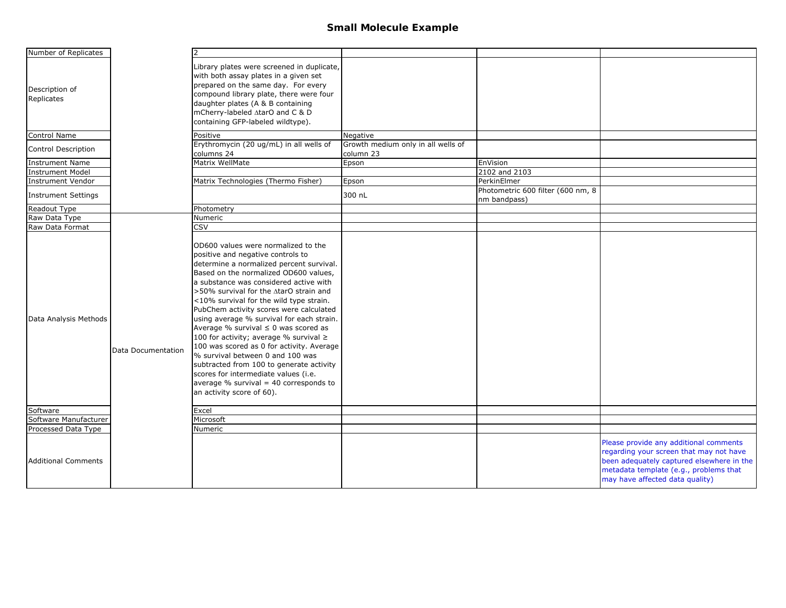| Number of Replicates         |                    |                                                                                                                                                                                                                                                                                                                                                                                                                                                                                                                                                                                                                                                                                                                           |                                                 |                                                   |                                                                                                                                                                                                             |
|------------------------------|--------------------|---------------------------------------------------------------------------------------------------------------------------------------------------------------------------------------------------------------------------------------------------------------------------------------------------------------------------------------------------------------------------------------------------------------------------------------------------------------------------------------------------------------------------------------------------------------------------------------------------------------------------------------------------------------------------------------------------------------------------|-------------------------------------------------|---------------------------------------------------|-------------------------------------------------------------------------------------------------------------------------------------------------------------------------------------------------------------|
| Description of<br>Replicates |                    | Library plates were screened in duplicate,<br>with both assay plates in a given set<br>prepared on the same day. For every<br>compound library plate, there were four<br>daughter plates (A & B containing<br>mCherry-labeled ∆tarO and C & D<br>containing GFP-labeled wildtype).                                                                                                                                                                                                                                                                                                                                                                                                                                        |                                                 |                                                   |                                                                                                                                                                                                             |
| <b>Control Name</b>          |                    | Positive                                                                                                                                                                                                                                                                                                                                                                                                                                                                                                                                                                                                                                                                                                                  | Negative                                        |                                                   |                                                                                                                                                                                                             |
| <b>Control Description</b>   |                    | Erythromycin (20 ug/mL) in all wells of<br>columns 24                                                                                                                                                                                                                                                                                                                                                                                                                                                                                                                                                                                                                                                                     | Growth medium only in all wells of<br>column 23 |                                                   |                                                                                                                                                                                                             |
| <b>Instrument Name</b>       |                    | Matrix WellMate                                                                                                                                                                                                                                                                                                                                                                                                                                                                                                                                                                                                                                                                                                           | Epson                                           | EnVision                                          |                                                                                                                                                                                                             |
| <b>Instrument Model</b>      |                    |                                                                                                                                                                                                                                                                                                                                                                                                                                                                                                                                                                                                                                                                                                                           |                                                 | 2102 and 2103                                     |                                                                                                                                                                                                             |
| <b>Instrument Vendor</b>     |                    | Matrix Technologies (Thermo Fisher)                                                                                                                                                                                                                                                                                                                                                                                                                                                                                                                                                                                                                                                                                       | Epson                                           | PerkinElmer                                       |                                                                                                                                                                                                             |
| <b>Instrument Settings</b>   |                    |                                                                                                                                                                                                                                                                                                                                                                                                                                                                                                                                                                                                                                                                                                                           | 300 nL                                          | Photometric 600 filter (600 nm, 8<br>nm bandpass) |                                                                                                                                                                                                             |
| Readout Type                 |                    | Photometry                                                                                                                                                                                                                                                                                                                                                                                                                                                                                                                                                                                                                                                                                                                |                                                 |                                                   |                                                                                                                                                                                                             |
| Raw Data Type                |                    | Numeric                                                                                                                                                                                                                                                                                                                                                                                                                                                                                                                                                                                                                                                                                                                   |                                                 |                                                   |                                                                                                                                                                                                             |
| Raw Data Format              |                    | <b>CSV</b>                                                                                                                                                                                                                                                                                                                                                                                                                                                                                                                                                                                                                                                                                                                |                                                 |                                                   |                                                                                                                                                                                                             |
| Data Analysis Methods        | Data Documentation | OD600 values were normalized to the<br>positive and negative controls to<br>determine a normalized percent survival.<br>Based on the normalized OD600 values,<br>a substance was considered active with<br>>50% survival for the AtarO strain and<br><10% survival for the wild type strain.<br>PubChem activity scores were calculated<br>using average % survival for each strain.<br>Average % survival $\leq 0$ was scored as<br>100 for activity; average % survival ≥<br>100 was scored as 0 for activity. Average<br>% survival between 0 and 100 was<br>subtracted from 100 to generate activity<br>scores for intermediate values (i.e.<br>average $%$ survival = 40 corresponds to<br>an activity score of 60). |                                                 |                                                   |                                                                                                                                                                                                             |
| Software                     |                    | Excel                                                                                                                                                                                                                                                                                                                                                                                                                                                                                                                                                                                                                                                                                                                     |                                                 |                                                   |                                                                                                                                                                                                             |
| Software Manufacturer        |                    | Microsoft                                                                                                                                                                                                                                                                                                                                                                                                                                                                                                                                                                                                                                                                                                                 |                                                 |                                                   |                                                                                                                                                                                                             |
| Processed Data Type          |                    | Numeric                                                                                                                                                                                                                                                                                                                                                                                                                                                                                                                                                                                                                                                                                                                   |                                                 |                                                   |                                                                                                                                                                                                             |
| <b>Additional Comments</b>   |                    |                                                                                                                                                                                                                                                                                                                                                                                                                                                                                                                                                                                                                                                                                                                           |                                                 |                                                   | Please provide any additional comments<br>regarding your screen that may not have<br>been adequately captured elsewhere in the<br>metadata template (e.g., problems that<br>may have affected data quality) |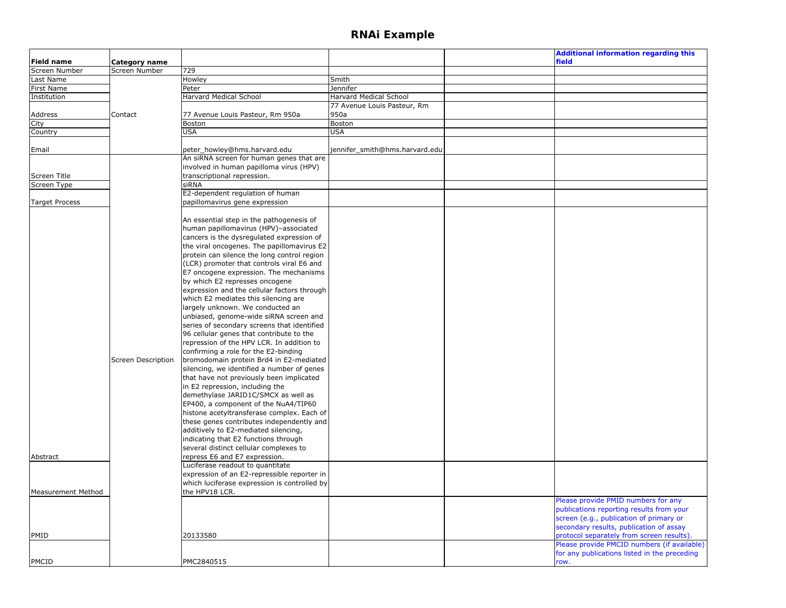|                           |                           |                                              |                                | <b>Additional information regarding this</b> |
|---------------------------|---------------------------|----------------------------------------------|--------------------------------|----------------------------------------------|
| Field name                | Category name             |                                              |                                | field                                        |
| Screen Number             | Screen Number             | 729                                          |                                |                                              |
| Last Name                 |                           | Howley                                       | Smith                          |                                              |
| First Name                |                           | Peter                                        | Jennifer                       |                                              |
| Institution               |                           | Harvard Medical School                       | Harvard Medical School         |                                              |
|                           |                           |                                              | 77 Avenue Louis Pasteur, Rm    |                                              |
| Address                   | Contact                   | 77 Avenue Louis Pasteur, Rm 950a             | 950a                           |                                              |
| City                      |                           | Boston                                       | Boston                         |                                              |
| Country                   |                           | <b>USA</b>                                   | <b>USA</b>                     |                                              |
|                           |                           |                                              |                                |                                              |
| Email                     |                           | peter_howley@hms.harvard.edu                 | jennifer_smith@hms.harvard.edu |                                              |
|                           |                           | An siRNA screen for human genes that are     |                                |                                              |
|                           |                           | involved in human papilloma virus (HPV)      |                                |                                              |
| Screen Title              |                           | transcriptional repression.                  |                                |                                              |
| Screen Type               |                           | siRNA                                        |                                |                                              |
|                           |                           | E2-dependent regulation of human             |                                |                                              |
| <b>Target Process</b>     |                           | papillomavirus gene expression               |                                |                                              |
|                           |                           |                                              |                                |                                              |
|                           |                           | An essential step in the pathogenesis of     |                                |                                              |
|                           |                           | human papillomavirus (HPV)-associated        |                                |                                              |
|                           |                           | cancers is the dysregulated expression of    |                                |                                              |
|                           |                           | the viral oncogenes. The papillomavirus E2   |                                |                                              |
|                           |                           | protein can silence the long control region  |                                |                                              |
|                           |                           | (LCR) promoter that controls viral E6 and    |                                |                                              |
|                           |                           | E7 oncogene expression. The mechanisms       |                                |                                              |
|                           |                           | by which E2 represses oncogene               |                                |                                              |
|                           |                           | expression and the cellular factors through  |                                |                                              |
|                           |                           | which E2 mediates this silencing are         |                                |                                              |
|                           |                           | largely unknown. We conducted an             |                                |                                              |
|                           |                           |                                              |                                |                                              |
|                           |                           | unbiased, genome-wide siRNA screen and       |                                |                                              |
|                           |                           | series of secondary screens that identified  |                                |                                              |
|                           |                           | 96 cellular genes that contribute to the     |                                |                                              |
|                           |                           | repression of the HPV LCR. In addition to    |                                |                                              |
|                           |                           | confirming a role for the E2-binding         |                                |                                              |
|                           | <b>Screen Description</b> | bromodomain protein Brd4 in E2-mediated      |                                |                                              |
|                           |                           | silencing, we identified a number of genes   |                                |                                              |
|                           |                           | that have not previously been implicated     |                                |                                              |
|                           |                           | in E2 repression, including the              |                                |                                              |
|                           |                           | demethylase JARID1C/SMCX as well as          |                                |                                              |
|                           |                           | EP400, a component of the NuA4/TIP60         |                                |                                              |
|                           |                           | histone acetyltransferase complex. Each of   |                                |                                              |
|                           |                           | these genes contributes independently and    |                                |                                              |
|                           |                           | additively to E2-mediated silencing,         |                                |                                              |
|                           |                           | indicating that E2 functions through         |                                |                                              |
|                           |                           | several distinct cellular complexes to       |                                |                                              |
| Abstract                  |                           | repress E6 and E7 expression.                |                                |                                              |
|                           |                           | Luciferase readout to quantitate             |                                |                                              |
|                           |                           | expression of an E2-repressible reporter in  |                                |                                              |
|                           |                           | which luciferase expression is controlled by |                                |                                              |
| <b>Measurement Method</b> |                           | the HPV18 LCR.                               |                                |                                              |
|                           |                           |                                              |                                | Please provide PMID numbers for any          |
|                           |                           |                                              |                                | publications reporting results from your     |
|                           |                           |                                              |                                | screen (e.g., publication of primary or      |
|                           |                           |                                              |                                | secondary results, publication of assay      |
| PMID                      |                           | 20133580                                     |                                | protocol separately from screen results).    |
|                           |                           |                                              |                                | Please provide PMCID numbers (if available)  |
|                           |                           |                                              |                                | for any publications listed in the preceding |
| <b>PMCID</b>              |                           | PMC2840515                                   |                                | row.                                         |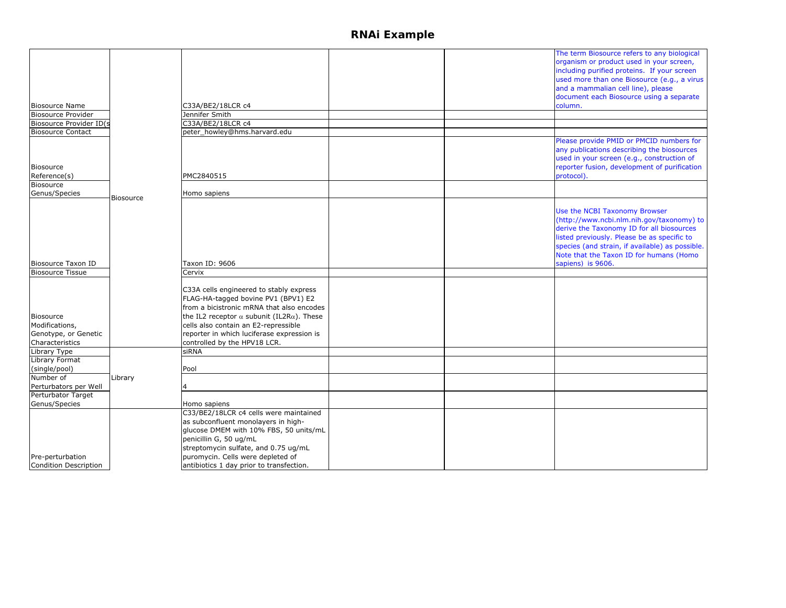|                              |                  |                                                           |  | The term Biosource refers to any biological     |
|------------------------------|------------------|-----------------------------------------------------------|--|-------------------------------------------------|
|                              |                  |                                                           |  | organism or product used in your screen,        |
|                              |                  |                                                           |  | including purified proteins. If your screen     |
|                              |                  |                                                           |  | used more than one Biosource (e.g., a virus     |
|                              |                  |                                                           |  | and a mammalian cell line), please              |
|                              |                  |                                                           |  | document each Biosource using a separate        |
|                              |                  |                                                           |  |                                                 |
| <b>Biosource Name</b>        |                  | C33A/BE2/18LCR c4                                         |  | column.                                         |
| <b>Biosource Provider</b>    |                  | Jennifer Smith                                            |  |                                                 |
| Biosource Provider ID(s      |                  | C33A/BE2/18LCR c4                                         |  |                                                 |
| <b>Biosource Contact</b>     |                  | peter_howley@hms.harvard.edu                              |  |                                                 |
|                              |                  |                                                           |  | Please provide PMID or PMCID numbers for        |
|                              |                  |                                                           |  | any publications describing the biosources      |
|                              |                  |                                                           |  | used in your screen (e.g., construction of      |
| <b>Biosource</b>             |                  |                                                           |  | reporter fusion, development of purification    |
| Reference(s)                 |                  | PMC2840515                                                |  | protocol).                                      |
| <b>Biosource</b>             |                  |                                                           |  |                                                 |
| Genus/Species                |                  | Homo sapiens                                              |  |                                                 |
|                              | <b>Biosource</b> |                                                           |  |                                                 |
|                              |                  |                                                           |  |                                                 |
|                              |                  |                                                           |  | Use the NCBI Taxonomy Browser                   |
|                              |                  |                                                           |  | (http://www.ncbi.nlm.nih.gov/taxonomy) to       |
|                              |                  |                                                           |  | derive the Taxonomy ID for all biosources       |
|                              |                  |                                                           |  | listed previously. Please be as specific to     |
|                              |                  |                                                           |  | species (and strain, if available) as possible. |
|                              |                  |                                                           |  | Note that the Taxon ID for humans (Homo         |
| <b>Biosource Taxon ID</b>    |                  | Taxon ID: 9606                                            |  | sapiens) is 9606.                               |
| <b>Biosource Tissue</b>      |                  | Cervix                                                    |  |                                                 |
|                              |                  |                                                           |  |                                                 |
|                              |                  | C33A cells engineered to stably express                   |  |                                                 |
|                              |                  | FLAG-HA-tagged bovine PV1 (BPV1) E2                       |  |                                                 |
|                              |                  | from a bicistronic mRNA that also encodes                 |  |                                                 |
| <b>Biosource</b>             |                  | the IL2 receptor $\alpha$ subunit (IL2R $\alpha$ ). These |  |                                                 |
| Modifications,               |                  | cells also contain an E2-repressible                      |  |                                                 |
|                              |                  |                                                           |  |                                                 |
| Genotype, or Genetic         |                  | reporter in which luciferase expression is                |  |                                                 |
| Characteristics              |                  | controlled by the HPV18 LCR.                              |  |                                                 |
| Library Type                 |                  | siRNA                                                     |  |                                                 |
| Library Format               |                  |                                                           |  |                                                 |
| (single/pool)                |                  | Pool                                                      |  |                                                 |
| Number of                    | Library          |                                                           |  |                                                 |
| Perturbators per Well        |                  |                                                           |  |                                                 |
| Perturbator Target           |                  |                                                           |  |                                                 |
| Genus/Species                |                  | Homo sapiens                                              |  |                                                 |
|                              |                  | C33/BE2/18LCR c4 cells were maintained                    |  |                                                 |
|                              |                  | as subconfluent monolayers in high-                       |  |                                                 |
|                              |                  | glucose DMEM with 10% FBS, 50 units/mL                    |  |                                                 |
|                              |                  | penicillin G, 50 ug/mL                                    |  |                                                 |
|                              |                  | streptomycin sulfate, and 0.75 ug/mL                      |  |                                                 |
|                              |                  |                                                           |  |                                                 |
| Pre-perturbation             |                  | puromycin. Cells were depleted of                         |  |                                                 |
| <b>Condition Description</b> |                  | antibiotics 1 day prior to transfection.                  |  |                                                 |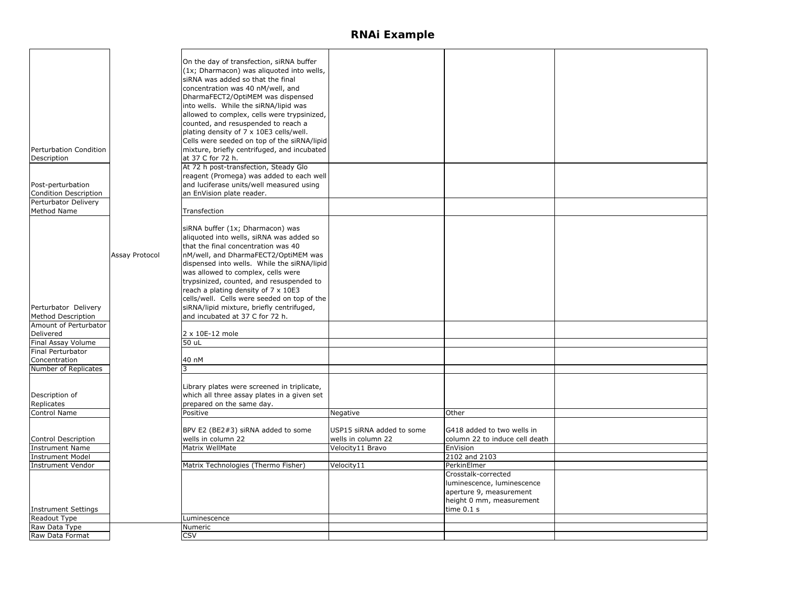|                            |                | On the day of transfection, siRNA buffer    |                           |                                |  |
|----------------------------|----------------|---------------------------------------------|---------------------------|--------------------------------|--|
|                            |                | (1x; Dharmacon) was aliquoted into wells,   |                           |                                |  |
|                            |                |                                             |                           |                                |  |
|                            |                | siRNA was added so that the final           |                           |                                |  |
|                            |                | concentration was 40 nM/well, and           |                           |                                |  |
|                            |                | DharmaFECT2/OptiMEM was dispensed           |                           |                                |  |
|                            |                | into wells. While the siRNA/lipid was       |                           |                                |  |
|                            |                | allowed to complex, cells were trypsinized, |                           |                                |  |
|                            |                | counted, and resuspended to reach a         |                           |                                |  |
|                            |                | plating density of 7 x 10E3 cells/well.     |                           |                                |  |
|                            |                | Cells were seeded on top of the siRNA/lipid |                           |                                |  |
| Perturbation Condition     |                | mixture, briefly centrifuged, and incubated |                           |                                |  |
| Description                |                | at 37 C for 72 h.                           |                           |                                |  |
|                            |                |                                             |                           |                                |  |
|                            |                | At 72 h post-transfection, Steady Glo       |                           |                                |  |
|                            |                | reagent (Promega) was added to each well    |                           |                                |  |
| Post-perturbation          |                | and luciferase units/well measured using    |                           |                                |  |
| Condition Description      |                | an EnVision plate reader.                   |                           |                                |  |
| Perturbator Delivery       |                |                                             |                           |                                |  |
| Method Name                |                | Transfection                                |                           |                                |  |
|                            |                |                                             |                           |                                |  |
|                            |                | siRNA buffer (1x; Dharmacon) was            |                           |                                |  |
|                            |                | aliquoted into wells, siRNA was added so    |                           |                                |  |
|                            |                | that the final concentration was 40         |                           |                                |  |
|                            | Assay Protocol | nM/well, and DharmaFECT2/OptiMEM was        |                           |                                |  |
|                            |                | dispensed into wells. While the siRNA/lipid |                           |                                |  |
|                            |                | was allowed to complex, cells were          |                           |                                |  |
|                            |                | trypsinized, counted, and resuspended to    |                           |                                |  |
|                            |                | reach a plating density of 7 x 10E3         |                           |                                |  |
|                            |                | cells/well. Cells were seeded on top of the |                           |                                |  |
|                            |                |                                             |                           |                                |  |
| Perturbator Delivery       |                | siRNA/lipid mixture, briefly centrifuged,   |                           |                                |  |
| <b>Method Description</b>  |                | and incubated at 37 C for 72 h.             |                           |                                |  |
| Amount of Perturbator      |                |                                             |                           |                                |  |
| Delivered                  |                | 2 x 10E-12 mole                             |                           |                                |  |
| Final Assay Volume         |                | 50 uL                                       |                           |                                |  |
| Final Perturbator          |                |                                             |                           |                                |  |
| Concentration              |                | 40 nM                                       |                           |                                |  |
| Number of Replicates       |                |                                             |                           |                                |  |
|                            |                |                                             |                           |                                |  |
|                            |                | Library plates were screened in triplicate, |                           |                                |  |
| Description of             |                | which all three assay plates in a given set |                           |                                |  |
| Replicates                 |                | prepared on the same day.                   |                           |                                |  |
| Control Name               |                | Positive                                    | Negative                  | Other                          |  |
|                            |                |                                             |                           |                                |  |
|                            |                | BPV E2 (BE2#3) siRNA added to some          | USP15 siRNA added to some | G418 added to two wells in     |  |
| Control Description        |                | wells in column 22                          | wells in column 22        | column 22 to induce cell death |  |
| <b>Instrument Name</b>     |                | Matrix WellMate                             | Velocity11 Bravo          | EnVision                       |  |
| <b>Instrument Model</b>    |                |                                             |                           | 2102 and 2103                  |  |
| Instrument Vendor          |                | Matrix Technologies (Thermo Fisher)         | Velocity11                | PerkinElmer                    |  |
|                            |                |                                             |                           | Crosstalk-corrected            |  |
|                            |                |                                             |                           | luminescence, luminescence     |  |
|                            |                |                                             |                           | aperture 9, measurement        |  |
|                            |                |                                             |                           | height 0 mm, measurement       |  |
| <b>Instrument Settings</b> |                |                                             |                           | time $0.1 s$                   |  |
| Readout Type               |                | Luminescence                                |                           |                                |  |
| Raw Data Type              |                | Numeric                                     |                           |                                |  |
| Raw Data Format            |                | <b>CSV</b>                                  |                           |                                |  |